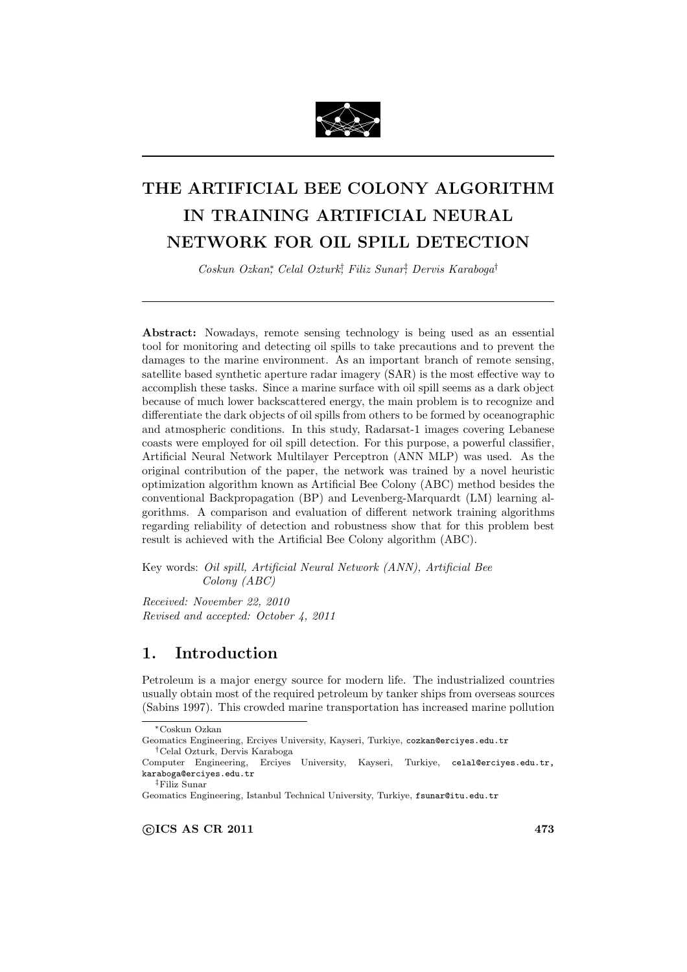

# THE ARTIFICIAL BEE COLONY ALGORITHM IN TRAINING ARTIFICIAL NEURAL NETWORK FOR OIL SPILL DETECTION

Coskun Ozkan<sup>∗</sup> , Celal Ozturk† , Filiz Sunar‡ , Dervis Karaboga†

Abstract: Nowadays, remote sensing technology is being used as an essential tool for monitoring and detecting oil spills to take precautions and to prevent the damages to the marine environment. As an important branch of remote sensing, satellite based synthetic aperture radar imagery (SAR) is the most effective way to accomplish these tasks. Since a marine surface with oil spill seems as a dark object because of much lower backscattered energy, the main problem is to recognize and differentiate the dark objects of oil spills from others to be formed by oceanographic and atmospheric conditions. In this study, Radarsat-1 images covering Lebanese coasts were employed for oil spill detection. For this purpose, a powerful classifier, Artificial Neural Network Multilayer Perceptron (ANN MLP) was used. As the original contribution of the paper, the network was trained by a novel heuristic optimization algorithm known as Artificial Bee Colony (ABC) method besides the conventional Backpropagation (BP) and Levenberg-Marquardt (LM) learning algorithms. A comparison and evaluation of different network training algorithms regarding reliability of detection and robustness show that for this problem best result is achieved with the Artificial Bee Colony algorithm (ABC).

Key words: Oil spill, Artificial Neural Network (ANN), Artificial Bee Colony (ABC)

Received: November 22, 2010 Revised and accepted: October 4, 2011

# 1. Introduction

Petroleum is a major energy source for modern life. The industrialized countries usually obtain most of the required petroleum by tanker ships from overseas sources (Sabins 1997). This crowded marine transportation has increased marine pollution

‡Filiz Sunar

<sup>∗</sup>Coskun Ozkan

Geomatics Engineering, Erciyes University, Kayseri, Turkiye, cozkan@erciyes.edu.tr †Celal Ozturk, Dervis Karaboga

Computer Engineering, Erciyes University, Kayseri, Turkiye, celal@erciyes.edu.tr, karaboga@erciyes.edu.tr

Geomatics Engineering, Istanbul Technical University, Turkiye, fsunar@itu.edu.tr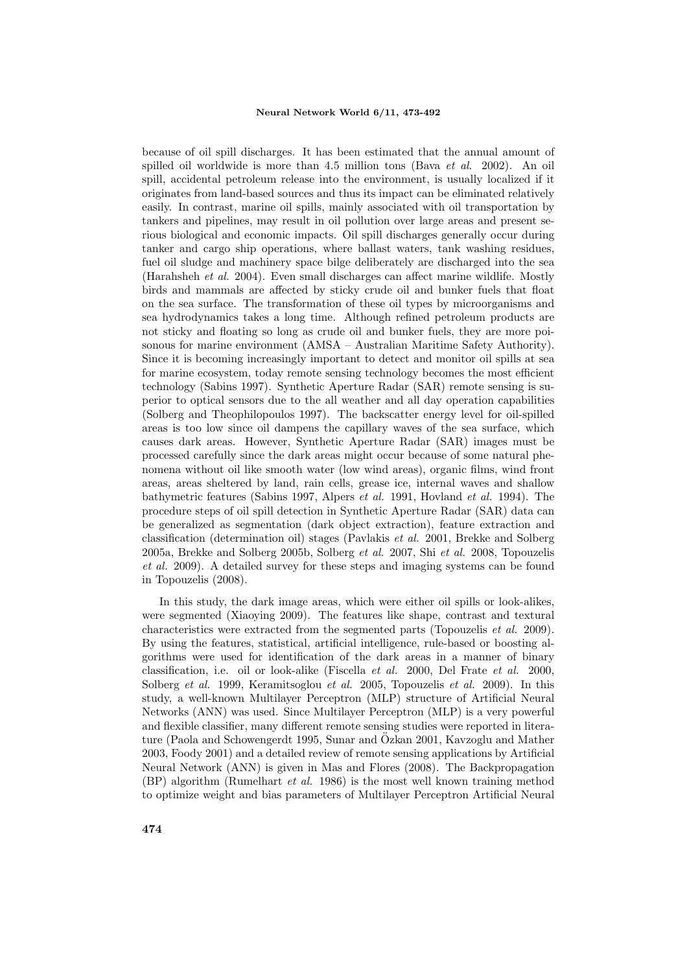because of oil spill discharges. It has been estimated that the annual amount of spilled oil worldwide is more than 4.5 million tons (Bava et al. 2002). An oil spill, accidental petroleum release into the environment, is usually localized if it originates from land-based sources and thus its impact can be eliminated relatively easily. In contrast, marine oil spills, mainly associated with oil transportation by tankers and pipelines, may result in oil pollution over large areas and present serious biological and economic impacts. Oil spill discharges generally occur during tanker and cargo ship operations, where ballast waters, tank washing residues, fuel oil sludge and machinery space bilge deliberately are discharged into the sea (Harahsheh et al. 2004). Even small discharges can affect marine wildlife. Mostly birds and mammals are affected by sticky crude oil and bunker fuels that float on the sea surface. The transformation of these oil types by microorganisms and sea hydrodynamics takes a long time. Although refined petroleum products are not sticky and floating so long as crude oil and bunker fuels, they are more poisonous for marine environment (AMSA – Australian Maritime Safety Authority). Since it is becoming increasingly important to detect and monitor oil spills at sea for marine ecosystem, today remote sensing technology becomes the most efficient technology (Sabins 1997). Synthetic Aperture Radar (SAR) remote sensing is superior to optical sensors due to the all weather and all day operation capabilities (Solberg and Theophilopoulos 1997). The backscatter energy level for oil-spilled areas is too low since oil dampens the capillary waves of the sea surface, which causes dark areas. However, Synthetic Aperture Radar (SAR) images must be processed carefully since the dark areas might occur because of some natural phenomena without oil like smooth water (low wind areas), organic films, wind front areas, areas sheltered by land, rain cells, grease ice, internal waves and shallow bathymetric features (Sabins 1997, Alpers et al. 1991, Hovland et al. 1994). The procedure steps of oil spill detection in Synthetic Aperture Radar (SAR) data can be generalized as segmentation (dark object extraction), feature extraction and classification (determination oil) stages (Pavlakis et al. 2001, Brekke and Solberg 2005a, Brekke and Solberg 2005b, Solberg et al. 2007, Shi et al. 2008, Topouzelis et al. 2009). A detailed survey for these steps and imaging systems can be found in Topouzelis (2008).

In this study, the dark image areas, which were either oil spills or look-alikes, were segmented (Xiaoying 2009). The features like shape, contrast and textural characteristics were extracted from the segmented parts (Topouzelis et al. 2009). By using the features, statistical, artificial intelligence, rule-based or boosting algorithms were used for identification of the dark areas in a manner of binary classification, i.e. oil or look-alike (Fiscella et al. 2000, Del Frate et al. 2000, Solberg et al. 1999, Keramitsoglou et al. 2005, Topouzelis et al. 2009). In this study, a well-known Multilayer Perceptron (MLP) structure of Artificial Neural Networks (ANN) was used. Since Multilayer Perceptron (MLP) is a very powerful and flexible classifier, many different remote sensing studies were reported in literature (Paola and Schowengerdt 1995, Sunar and Özkan 2001, Kavzoglu and Mather 2003, Foody 2001) and a detailed review of remote sensing applications by Artificial Neural Network (ANN) is given in Mas and Flores (2008). The Backpropagation (BP) algorithm (Rumelhart et al. 1986) is the most well known training method to optimize weight and bias parameters of Multilayer Perceptron Artificial Neural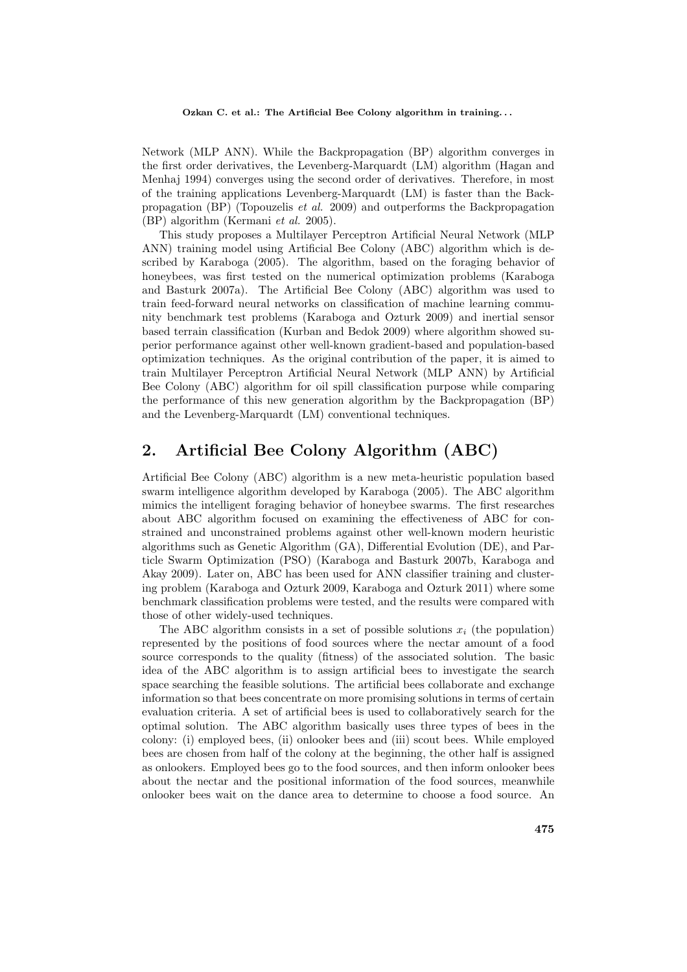Network (MLP ANN). While the Backpropagation (BP) algorithm converges in the first order derivatives, the Levenberg-Marquardt (LM) algorithm (Hagan and Menhaj 1994) converges using the second order of derivatives. Therefore, in most of the training applications Levenberg-Marquardt (LM) is faster than the Backpropagation (BP) (Topouzelis *et al.* 2009) and outperforms the Backpropagation (BP) algorithm (Kermani et al. 2005).

This study proposes a Multilayer Perceptron Artificial Neural Network (MLP ANN) training model using Artificial Bee Colony (ABC) algorithm which is described by Karaboga (2005). The algorithm, based on the foraging behavior of honeybees, was first tested on the numerical optimization problems (Karaboga and Basturk 2007a). The Artificial Bee Colony (ABC) algorithm was used to train feed-forward neural networks on classification of machine learning community benchmark test problems (Karaboga and Ozturk 2009) and inertial sensor based terrain classification (Kurban and Bedok 2009) where algorithm showed superior performance against other well-known gradient-based and population-based optimization techniques. As the original contribution of the paper, it is aimed to train Multilayer Perceptron Artificial Neural Network (MLP ANN) by Artificial Bee Colony (ABC) algorithm for oil spill classification purpose while comparing the performance of this new generation algorithm by the Backpropagation (BP) and the Levenberg-Marquardt (LM) conventional techniques.

### 2. Artificial Bee Colony Algorithm (ABC)

Artificial Bee Colony (ABC) algorithm is a new meta-heuristic population based swarm intelligence algorithm developed by Karaboga (2005). The ABC algorithm mimics the intelligent foraging behavior of honeybee swarms. The first researches about ABC algorithm focused on examining the effectiveness of ABC for constrained and unconstrained problems against other well-known modern heuristic algorithms such as Genetic Algorithm (GA), Differential Evolution (DE), and Particle Swarm Optimization (PSO) (Karaboga and Basturk 2007b, Karaboga and Akay 2009). Later on, ABC has been used for ANN classifier training and clustering problem (Karaboga and Ozturk 2009, Karaboga and Ozturk 2011) where some benchmark classification problems were tested, and the results were compared with those of other widely-used techniques.

The ABC algorithm consists in a set of possible solutions  $x_i$  (the population) represented by the positions of food sources where the nectar amount of a food source corresponds to the quality (fitness) of the associated solution. The basic idea of the ABC algorithm is to assign artificial bees to investigate the search space searching the feasible solutions. The artificial bees collaborate and exchange information so that bees concentrate on more promising solutions in terms of certain evaluation criteria. A set of artificial bees is used to collaboratively search for the optimal solution. The ABC algorithm basically uses three types of bees in the colony: (i) employed bees, (ii) onlooker bees and (iii) scout bees. While employed bees are chosen from half of the colony at the beginning, the other half is assigned as onlookers. Employed bees go to the food sources, and then inform onlooker bees about the nectar and the positional information of the food sources, meanwhile onlooker bees wait on the dance area to determine to choose a food source. An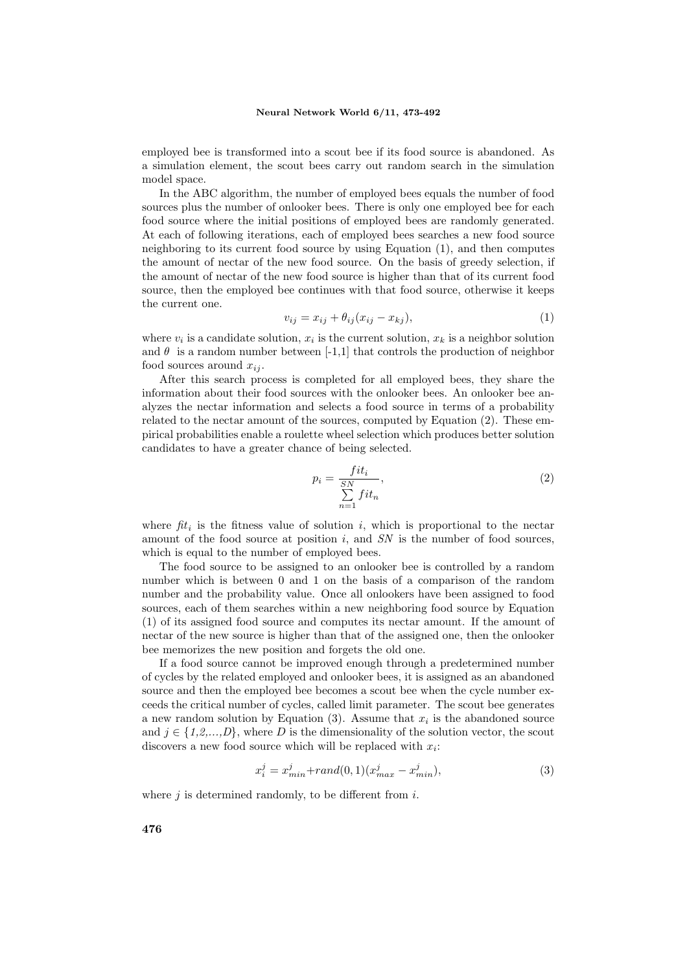employed bee is transformed into a scout bee if its food source is abandoned. As a simulation element, the scout bees carry out random search in the simulation model space.

In the ABC algorithm, the number of employed bees equals the number of food sources plus the number of onlooker bees. There is only one employed bee for each food source where the initial positions of employed bees are randomly generated. At each of following iterations, each of employed bees searches a new food source neighboring to its current food source by using Equation (1), and then computes the amount of nectar of the new food source. On the basis of greedy selection, if the amount of nectar of the new food source is higher than that of its current food source, then the employed bee continues with that food source, otherwise it keeps the current one.

$$
v_{ij} = x_{ij} + \theta_{ij}(x_{ij} - x_{kj}), \qquad (1)
$$

where  $v_i$  is a candidate solution,  $x_i$  is the current solution,  $x_k$  is a neighbor solution and  $\theta$  is a random number between [-1,1] that controls the production of neighbor food sources around  $x_{ij}$ .

After this search process is completed for all employed bees, they share the information about their food sources with the onlooker bees. An onlooker bee analyzes the nectar information and selects a food source in terms of a probability related to the nectar amount of the sources, computed by Equation (2). These empirical probabilities enable a roulette wheel selection which produces better solution candidates to have a greater chance of being selected.

$$
p_i = \frac{fit_i}{\sum\limits_{n=1}^{SN} fit_n},\tag{2}
$$

where  $fit_i$  is the fitness value of solution i, which is proportional to the nectar amount of the food source at position  $i$ , and  $SN$  is the number of food sources, which is equal to the number of employed bees.

The food source to be assigned to an onlooker bee is controlled by a random number which is between 0 and 1 on the basis of a comparison of the random number and the probability value. Once all onlookers have been assigned to food sources, each of them searches within a new neighboring food source by Equation (1) of its assigned food source and computes its nectar amount. If the amount of nectar of the new source is higher than that of the assigned one, then the onlooker bee memorizes the new position and forgets the old one.

If a food source cannot be improved enough through a predetermined number of cycles by the related employed and onlooker bees, it is assigned as an abandoned source and then the employed bee becomes a scout bee when the cycle number exceeds the critical number of cycles, called limit parameter. The scout bee generates a new random solution by Equation  $(3)$ . Assume that  $x_i$  is the abandoned source and  $j \in \{1,2,...,D\}$ , where D is the dimensionality of the solution vector, the scout discovers a new food source which will be replaced with  $x_i$ :

$$
x_i^j = x_{min}^j + rand(0,1)(x_{max}^j - x_{min}^j),
$$
\n(3)

where  $j$  is determined randomly, to be different from  $i$ .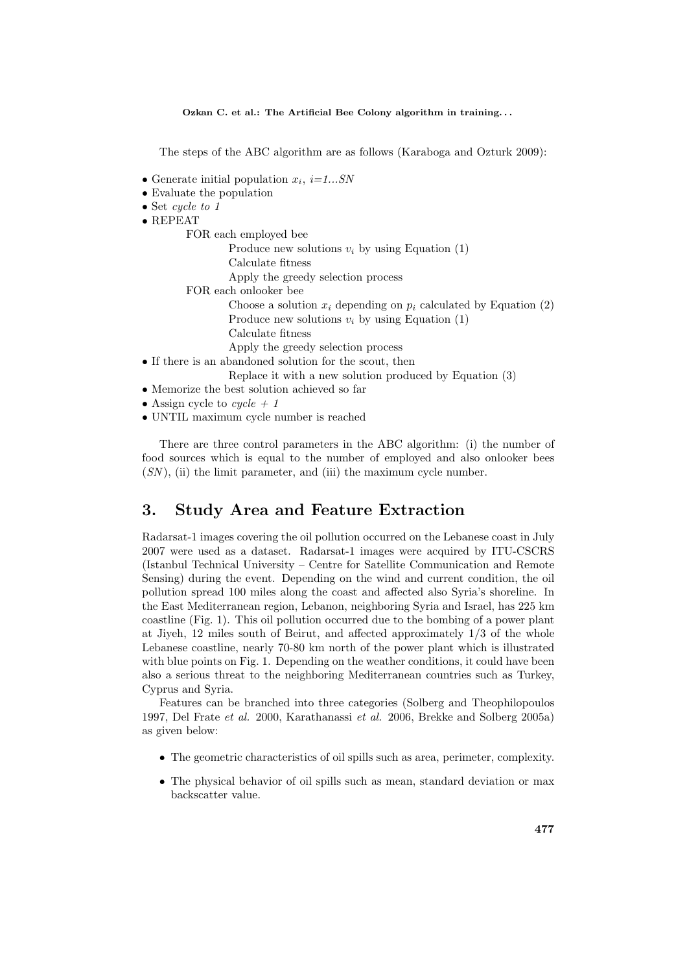The steps of the ABC algorithm are as follows (Karaboga and Ozturk 2009):

- Generate initial population  $x_i$ ,  $i=1...SN$
- Evaluate the population
- Set cycle to 1
- REPEAT

FOR each employed bee

- Produce new solutions  $v_i$  by using Equation (1)
	- Calculate fitness
- Apply the greedy selection process
- FOR each onlooker bee
	- Choose a solution  $x_i$  depending on  $p_i$  calculated by Equation (2) Produce new solutions  $v_i$  by using Equation (1)
	- Calculate fitness
	- Apply the greedy selection process
- If there is an abandoned solution for the scout, then
	- Replace it with a new solution produced by Equation (3)
- Memorize the best solution achieved so far • Assign cycle to  $cycle + 1$
- UNTIL maximum cycle number is reached

There are three control parameters in the ABC algorithm: (i) the number of food sources which is equal to the number of employed and also onlooker bees  $(SN)$ , (ii) the limit parameter, and (iii) the maximum cycle number.

### 3. Study Area and Feature Extraction

Radarsat-1 images covering the oil pollution occurred on the Lebanese coast in July 2007 were used as a dataset. Radarsat-1 images were acquired by ITU-CSCRS (Istanbul Technical University – Centre for Satellite Communication and Remote Sensing) during the event. Depending on the wind and current condition, the oil pollution spread 100 miles along the coast and affected also Syria's shoreline. In the East Mediterranean region, Lebanon, neighboring Syria and Israel, has 225 km coastline (Fig. 1). This oil pollution occurred due to the bombing of a power plant at Jiyeh, 12 miles south of Beirut, and affected approximately 1/3 of the whole Lebanese coastline, nearly 70-80 km north of the power plant which is illustrated with blue points on Fig. 1. Depending on the weather conditions, it could have been also a serious threat to the neighboring Mediterranean countries such as Turkey, Cyprus and Syria.

Features can be branched into three categories (Solberg and Theophilopoulos 1997, Del Frate et al. 2000, Karathanassi et al. 2006, Brekke and Solberg 2005a) as given below:

- The geometric characteristics of oil spills such as area, perimeter, complexity.
- The physical behavior of oil spills such as mean, standard deviation or max backscatter value.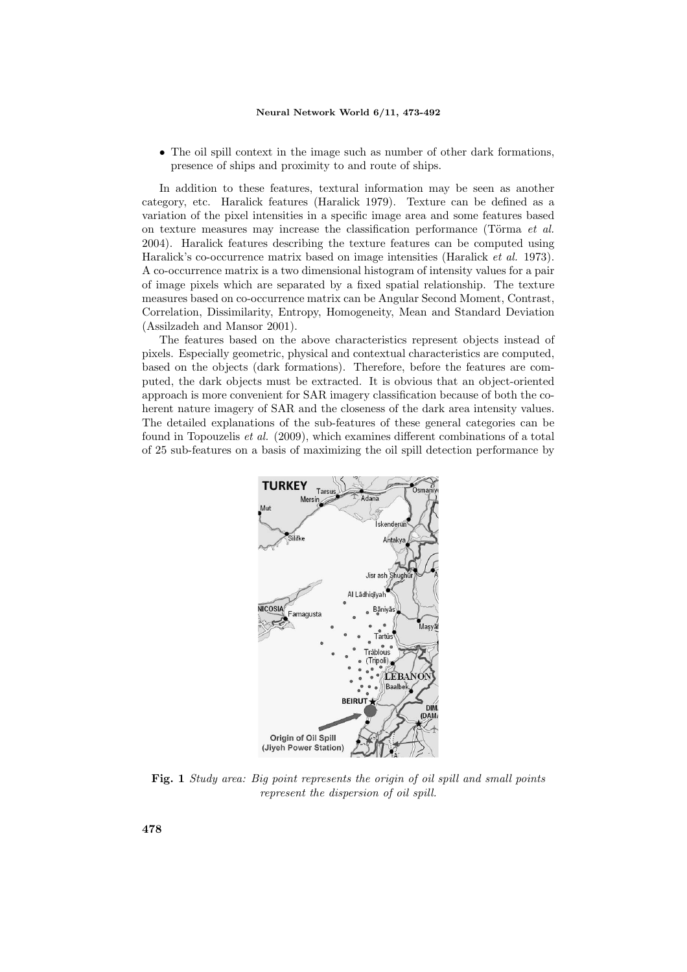• The oil spill context in the image such as number of other dark formations, presence of ships and proximity to and route of ships.

In addition to these features, textural information may be seen as another category, etc. Haralick features (Haralick 1979). Texture can be defined as a variation of the pixel intensities in a specific image area and some features based on texture measures may increase the classification performance (Törma  $et \, al.$ ) 2004). Haralick features describing the texture features can be computed using Haralick's co-occurrence matrix based on image intensities (Haralick et al. 1973). A co-occurrence matrix is a two dimensional histogram of intensity values for a pair of image pixels which are separated by a fixed spatial relationship. The texture measures based on co-occurrence matrix can be Angular Second Moment, Contrast, Correlation, Dissimilarity, Entropy, Homogeneity, Mean and Standard Deviation (Assilzadeh and Mansor 2001).

The features based on the above characteristics represent objects instead of pixels. Especially geometric, physical and contextual characteristics are computed, based on the objects (dark formations). Therefore, before the features are computed, the dark objects must be extracted. It is obvious that an object-oriented approach is more convenient for SAR imagery classification because of both the coherent nature imagery of SAR and the closeness of the dark area intensity values. The detailed explanations of the sub-features of these general categories can be found in Topouzelis et al. (2009), which examines different combinations of a total of 25 sub-features on a basis of maximizing the oil spill detection performance by



Fig. 1 Study area: Big point represents the origin of oil spill and small points represent the dispersion of oil spill.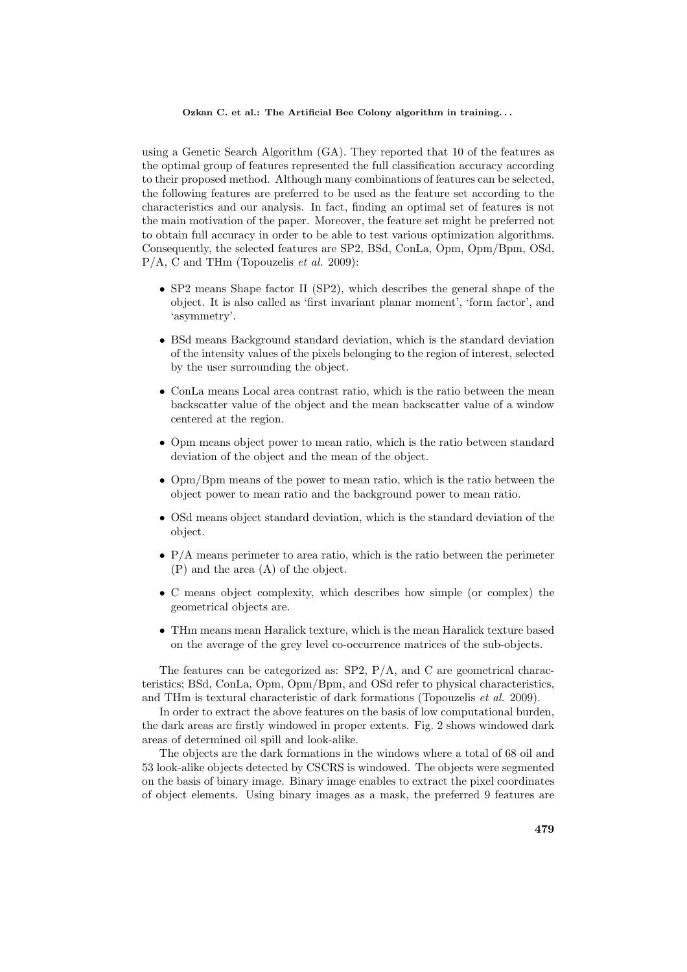using a Genetic Search Algorithm (GA). They reported that 10 of the features as the optimal group of features represented the full classification accuracy according to their proposed method. Although many combinations of features can be selected, the following features are preferred to be used as the feature set according to the characteristics and our analysis. In fact, finding an optimal set of features is not the main motivation of the paper. Moreover, the feature set might be preferred not to obtain full accuracy in order to be able to test various optimization algorithms. Consequently, the selected features are SP2, BSd, ConLa, Opm, Opm/Bpm, OSd, P/A, C and THm (Topouzelis et al. 2009):

- SP2 means Shape factor II (SP2), which describes the general shape of the object. It is also called as 'first invariant planar moment', 'form factor', and 'asymmetry'.
- BSd means Background standard deviation, which is the standard deviation of the intensity values of the pixels belonging to the region of interest, selected by the user surrounding the object.
- ConLa means Local area contrast ratio, which is the ratio between the mean backscatter value of the object and the mean backscatter value of a window centered at the region.
- Opm means object power to mean ratio, which is the ratio between standard deviation of the object and the mean of the object.
- Opm/Bpm means of the power to mean ratio, which is the ratio between the object power to mean ratio and the background power to mean ratio.
- OSd means object standard deviation, which is the standard deviation of the object.
- P/A means perimeter to area ratio, which is the ratio between the perimeter (P) and the area (A) of the object.
- C means object complexity, which describes how simple (or complex) the geometrical objects are.
- THm means mean Haralick texture, which is the mean Haralick texture based on the average of the grey level co-occurrence matrices of the sub-objects.

The features can be categorized as:  $SP2$ ,  $P/A$ , and C are geometrical characteristics; BSd, ConLa, Opm, Opm/Bpm, and OSd refer to physical characteristics, and THm is textural characteristic of dark formations (Topouzelis et al. 2009).

In order to extract the above features on the basis of low computational burden, the dark areas are firstly windowed in proper extents. Fig. 2 shows windowed dark areas of determined oil spill and look-alike.

The objects are the dark formations in the windows where a total of 68 oil and 53 look-alike objects detected by CSCRS is windowed. The objects were segmented on the basis of binary image. Binary image enables to extract the pixel coordinates of object elements. Using binary images as a mask, the preferred 9 features are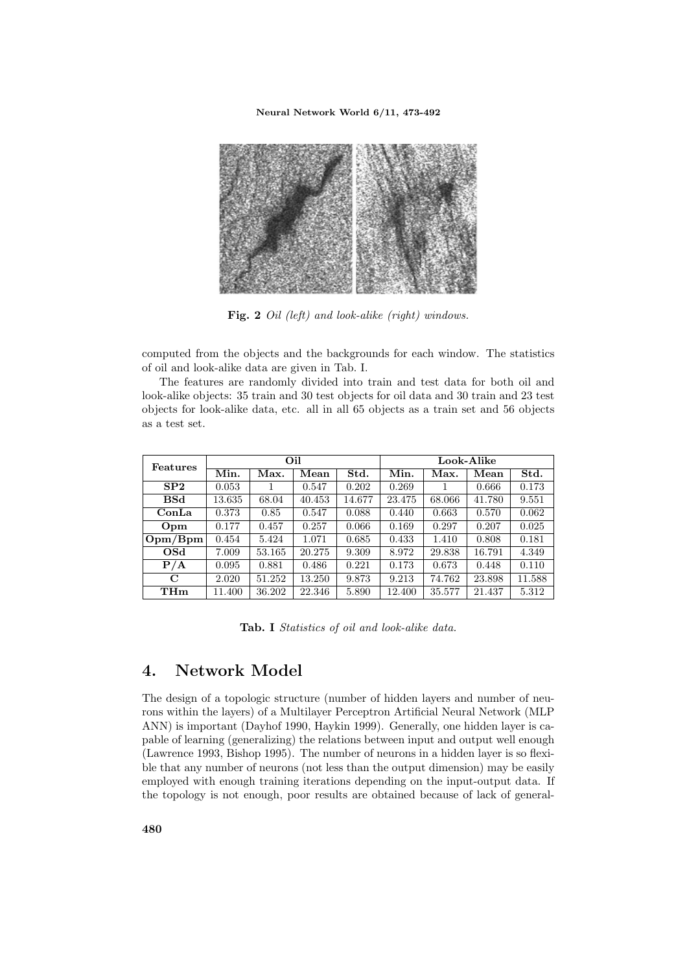

Fig. 2 Oil (left) and look-alike (right) windows.

computed from the objects and the backgrounds for each window. The statistics of oil and look-alike data are given in Tab. I.

The features are randomly divided into train and test data for both oil and look-alike objects: 35 train and 30 test objects for oil data and 30 train and 23 test objects for look-alike data, etc. all in all 65 objects as a train set and 56 objects as a test set.

| Features        |        |        | Oil    |        |        |        | Look-Alike |        |
|-----------------|--------|--------|--------|--------|--------|--------|------------|--------|
|                 | Min.   | Max.   | Mean   | Std.   | Min.   | Max.   | Mean       | Std.   |
| SP <sub>2</sub> | 0.053  |        | 0.547  | 0.202  | 0.269  |        | 0.666      | 0.173  |
| <b>BSd</b>      | 13.635 | 68.04  | 40.453 | 14.677 | 23.475 | 68.066 | 41.780     | 9.551  |
| ConLa           | 0.373  | 0.85   | 0.547  | 0.088  | 0.440  | 0.663  | 0.570      | 0.062  |
| Opm             | 0.177  | 0.457  | 0.257  | 0.066  | 0.169  | 0.297  | 0.207      | 0.025  |
| Opm/Bpm         | 0.454  | 5.424  | 1.071  | 0.685  | 0.433  | 1.410  | 0.808      | 0.181  |
| OSd             | 7.009  | 53.165 | 20.275 | 9.309  | 8.972  | 29.838 | 16.791     | 4.349  |
| P/A             | 0.095  | 0.881  | 0.486  | 0.221  | 0.173  | 0.673  | 0.448      | 0.110  |
| $\mathbf C$     | 2.020  | 51.252 | 13.250 | 9.873  | 9.213  | 74.762 | 23.898     | 11.588 |
| THm             | 11.400 | 36.202 | 22.346 | 5.890  | 12.400 | 35.577 | 21.437     | 5.312  |

Tab. I Statistics of oil and look-alike data.

### 4. Network Model

The design of a topologic structure (number of hidden layers and number of neurons within the layers) of a Multilayer Perceptron Artificial Neural Network (MLP ANN) is important (Dayhof 1990, Haykin 1999). Generally, one hidden layer is capable of learning (generalizing) the relations between input and output well enough (Lawrence 1993, Bishop 1995). The number of neurons in a hidden layer is so flexible that any number of neurons (not less than the output dimension) may be easily employed with enough training iterations depending on the input-output data. If the topology is not enough, poor results are obtained because of lack of general-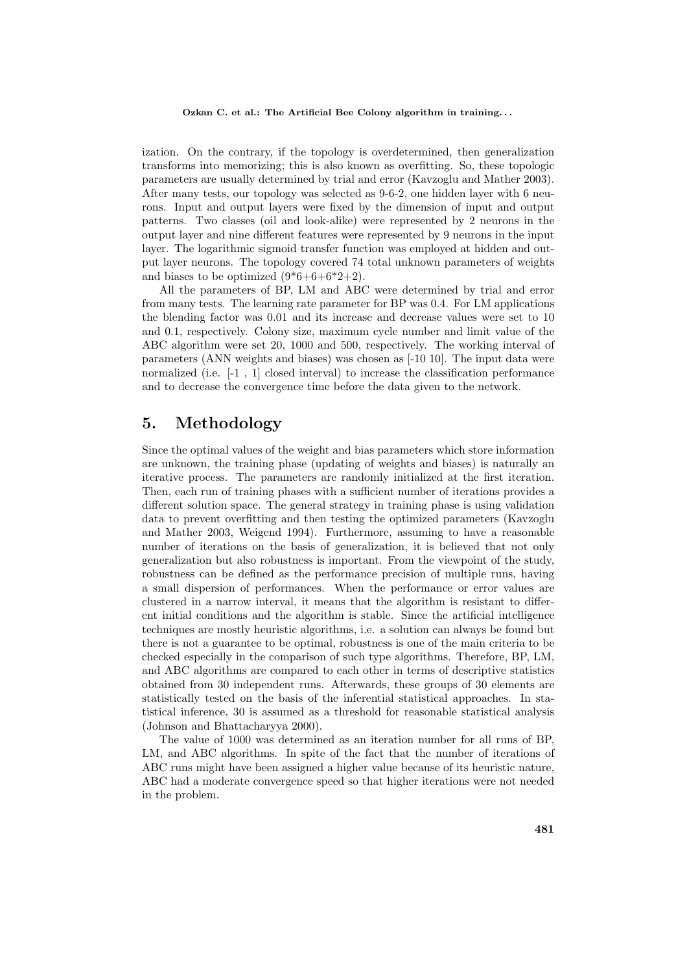ization. On the contrary, if the topology is overdetermined, then generalization transforms into memorizing; this is also known as overfitting. So, these topologic parameters are usually determined by trial and error (Kavzoglu and Mather 2003). After many tests, our topology was selected as 9-6-2, one hidden layer with 6 neurons. Input and output layers were fixed by the dimension of input and output patterns. Two classes (oil and look-alike) were represented by 2 neurons in the output layer and nine different features were represented by 9 neurons in the input layer. The logarithmic sigmoid transfer function was employed at hidden and output layer neurons. The topology covered 74 total unknown parameters of weights and biases to be optimized  $(9*6+6+6*2+2)$ .

All the parameters of BP, LM and ABC were determined by trial and error from many tests. The learning rate parameter for BP was 0.4. For LM applications the blending factor was 0.01 and its increase and decrease values were set to 10 and 0.1, respectively. Colony size, maximum cycle number and limit value of the ABC algorithm were set 20, 1000 and 500, respectively. The working interval of parameters (ANN weights and biases) was chosen as [-10 10]. The input data were normalized (i.e. [-1 , 1] closed interval) to increase the classification performance and to decrease the convergence time before the data given to the network.

### 5. Methodology

Since the optimal values of the weight and bias parameters which store information are unknown, the training phase (updating of weights and biases) is naturally an iterative process. The parameters are randomly initialized at the first iteration. Then, each run of training phases with a sufficient number of iterations provides a different solution space. The general strategy in training phase is using validation data to prevent overfitting and then testing the optimized parameters (Kavzoglu and Mather 2003, Weigend 1994). Furthermore, assuming to have a reasonable number of iterations on the basis of generalization, it is believed that not only generalization but also robustness is important. From the viewpoint of the study, robustness can be defined as the performance precision of multiple runs, having a small dispersion of performances. When the performance or error values are clustered in a narrow interval, it means that the algorithm is resistant to different initial conditions and the algorithm is stable. Since the artificial intelligence techniques are mostly heuristic algorithms, i.e. a solution can always be found but there is not a guarantee to be optimal, robustness is one of the main criteria to be checked especially in the comparison of such type algorithms. Therefore, BP, LM, and ABC algorithms are compared to each other in terms of descriptive statistics obtained from 30 independent runs. Afterwards, these groups of 30 elements are statistically tested on the basis of the inferential statistical approaches. In statistical inference, 30 is assumed as a threshold for reasonable statistical analysis (Johnson and Bhattacharyya 2000).

The value of 1000 was determined as an iteration number for all runs of BP, LM, and ABC algorithms. In spite of the fact that the number of iterations of ABC runs might have been assigned a higher value because of its heuristic nature, ABC had a moderate convergence speed so that higher iterations were not needed in the problem.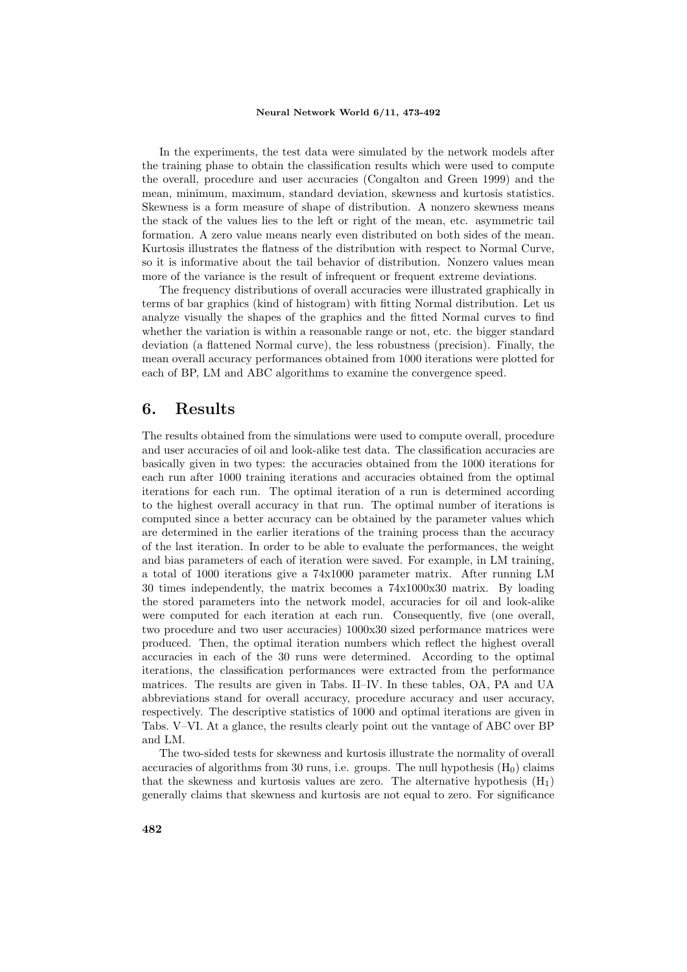In the experiments, the test data were simulated by the network models after the training phase to obtain the classification results which were used to compute the overall, procedure and user accuracies (Congalton and Green 1999) and the mean, minimum, maximum, standard deviation, skewness and kurtosis statistics. Skewness is a form measure of shape of distribution. A nonzero skewness means the stack of the values lies to the left or right of the mean, etc. asymmetric tail formation. A zero value means nearly even distributed on both sides of the mean. Kurtosis illustrates the flatness of the distribution with respect to Normal Curve, so it is informative about the tail behavior of distribution. Nonzero values mean more of the variance is the result of infrequent or frequent extreme deviations.

The frequency distributions of overall accuracies were illustrated graphically in terms of bar graphics (kind of histogram) with fitting Normal distribution. Let us analyze visually the shapes of the graphics and the fitted Normal curves to find whether the variation is within a reasonable range or not, etc. the bigger standard deviation (a flattened Normal curve), the less robustness (precision). Finally, the mean overall accuracy performances obtained from 1000 iterations were plotted for each of BP, LM and ABC algorithms to examine the convergence speed.

### 6. Results

The results obtained from the simulations were used to compute overall, procedure and user accuracies of oil and look-alike test data. The classification accuracies are basically given in two types: the accuracies obtained from the 1000 iterations for each run after 1000 training iterations and accuracies obtained from the optimal iterations for each run. The optimal iteration of a run is determined according to the highest overall accuracy in that run. The optimal number of iterations is computed since a better accuracy can be obtained by the parameter values which are determined in the earlier iterations of the training process than the accuracy of the last iteration. In order to be able to evaluate the performances, the weight and bias parameters of each of iteration were saved. For example, in LM training, a total of 1000 iterations give a 74x1000 parameter matrix. After running LM 30 times independently, the matrix becomes a 74x1000x30 matrix. By loading the stored parameters into the network model, accuracies for oil and look-alike were computed for each iteration at each run. Consequently, five (one overall, two procedure and two user accuracies) 1000x30 sized performance matrices were produced. Then, the optimal iteration numbers which reflect the highest overall accuracies in each of the 30 runs were determined. According to the optimal iterations, the classification performances were extracted from the performance matrices. The results are given in Tabs. II–IV. In these tables, OA, PA and UA abbreviations stand for overall accuracy, procedure accuracy and user accuracy, respectively. The descriptive statistics of 1000 and optimal iterations are given in Tabs. V–VI. At a glance, the results clearly point out the vantage of ABC over BP and LM.

The two-sided tests for skewness and kurtosis illustrate the normality of overall accuracies of algorithms from 30 runs, i.e. groups. The null hypothesis  $(H_0)$  claims that the skewness and kurtosis values are zero. The alternative hypothesis  $(H_1)$ generally claims that skewness and kurtosis are not equal to zero. For significance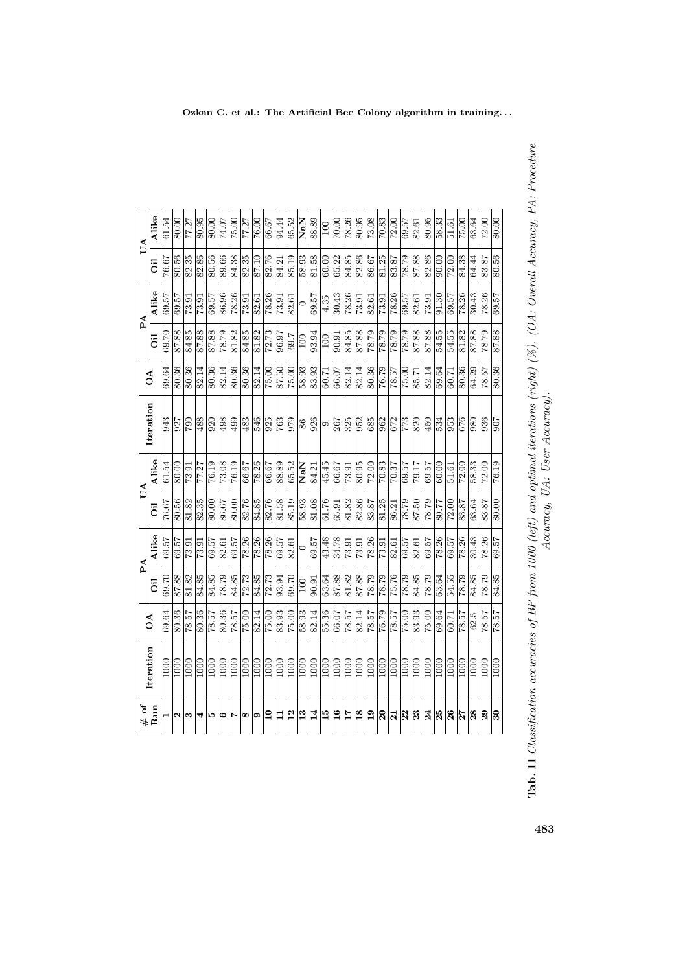|                                       | Iteration         | $\mathcal{L}$ |       | PA                |       | <b>ND</b> | Iteration        | $\mathcal{L}$ |            | PA                 |       | UA                |
|---------------------------------------|-------------------|---------------|-------|-------------------|-------|-----------|------------------|---------------|------------|--------------------|-------|-------------------|
| $#$ of<br>Run                         |                   |               | öil   | Alike             | öil   | Alike     |                  |               | öil        | <b>Alike</b>       | öil   | Alike             |
|                                       | 1000              | 69.64         | 69.70 | 69.57             | 76.67 | 61.54     | 943              | 69.64         | 69.70      | 69.57              | 76.67 | 61.54             |
| u                                     | 1000              | 80.36         | 87.88 | 69.57             | 80.56 | 80.00     | 927              | 80.36         | 87.88      | 69.57              | 80.56 | 80.00             |
| S                                     | $\frac{000}{1}$   | 78.57         | 81.82 | 73.91             | 81.82 | 73.91     | 790              | 80.36         | 84.85      | 73.91              | 82.35 | 77.27             |
| 4                                     | $\frac{000}{1}$   | 80.36         | 84.85 | $\frac{1}{13.91}$ | 82.35 | 77.27     | 488              | 82.14         | 87.88      | 73.91              | 82.86 | 80.95             |
| P.                                    | $\overline{1000}$ | 78.57         | 84.85 | 69.57             | 80.00 | 76.19     | 920              | 80.36         | 87.88      | 69.57              | 80.56 | 80.00             |
| అ                                     | 1000              | 80.36         | 78.79 | 82.61             | 86.67 | 73.08     | 498              | 82.14         | 62.84      | 86.96              | 89.66 | 74.07             |
| N                                     | $\overline{000}$  | 78.57         | 84.85 | 69.57             | 80.00 | 76.19     | 499              | 80.36         | 81.82      | 78.26              | 84.38 | 75.00             |
| œ                                     | 1000              | 75.00         | 72.73 | 78.26             | 82.76 | 66.67     | 483              | 80.36         | 84.85      | 73.91              | 82.35 | 77.27             |
| ග                                     | $\overline{000}$  | 82.14         | 84.85 | 78.26             | 84.85 | 78.26     | 546              | 82.14         | 81.82      | 82.61              | 87.10 | 76.00             |
| $\mathbf{r}$                          | 1000              | 75.00         | 72.73 | 78.26             | 82.76 | 66.67     | 925              | 75.00         | 72.73      | 78.26              | 82.76 | 66.67             |
| 급                                     | 1000              | 83.93         | 93.94 | 69.57             | 81.58 | 88.89     | $\overline{763}$ | 87.50         | 96.97      | 73.91              | 84.21 | 94.44             |
| $\frac{2}{1}$                         | 1000              | 75.00         | 69.70 | 82.61             | 85.19 | 65.52     | 979              | 75.00         | 69.7       | 82.61              | 85.19 | 65.52             |
| 13                                    | 1000              | 58.93         | 100   | $\circ$           | 58.93 | NaN       | 86               | 58.93         | <b>OOT</b> | $\circ$            | 58.93 | NaN               |
| $\overline{14}$                       | 1000              | 82.14         | 90.91 | 69.57             | 81.08 | 84.21     | 926              | 83.93         | 93.94      | 69.57              | 81.58 | 88.89             |
| $\frac{15}{2}$                        | 1000              | 55.36         | 63.64 | 43.48             | 61.76 | 45.45     | $\circ$          | 60.71         | 100        | 4.35               | 60.00 | 100               |
| $\frac{6}{1}$                         | 1000              | 66.07         | 87.88 | 34.78             | 65.91 | 66.67     | 267              | 66.07         | 90.91      | 30.43              | 65.22 | 70.00             |
| $\frac{17}{11}$                       | $\frac{0001}{2}$  | 78.57         | 81.82 | 73.91             | 81.82 | 73.91     | 325              | 82.14         | 84.85      | 78.26              | 84.85 | 78.26             |
| 18                                    | $\overline{1000}$ | 82.14         | 87.88 | 73.91             | 82.86 | 80.95     | $\overline{952}$ | 82.14         | 87.88      | 73.91              | 82.86 | 80.95             |
| $\frac{0}{1}$                         | 1000              | 78.57         | 62.82 | 78.26             | 83.87 | 72.00     | 685              | 80.36         | 78.79      | 82.61              | 86.67 | 73.08             |
| $\overline{20}$                       | $\overline{1000}$ | 76.79         | 78.79 | $\sqrt{73.91}$    | 81.25 | 70.83     | 962              | 76.79         | 78.79      | $\overline{73.91}$ | 81.25 | $\frac{70.83}{ }$ |
| $\overline{21}$                       | 1000              | 78.57         | 75.76 | 82.61             | 86.21 | 70.37     | 672              | 78.57         | 78.79      | 78.26              | 83.87 | 72.00             |
| 22                                    | 1000              | 75.00         | 78.79 | 69.57             | 78.79 | 69.57     | 773              | 75.00         | 78.79      | 69.57              | 78.79 | 69.57             |
| 23                                    | 1000              | 83.93         | 84.85 | 82.61             | 87.50 | 79.17     | 820              | 85.71         | 87.88      | 82.61              | 87.88 | 82.61             |
| 24                                    | 1000              | 75.00         | 78.79 | 69.57             | 62.84 | 69.57     | 450              | 82.14         | 87.88      | $\frac{73.91}{ }$  | 82.86 | 80.95             |
| 25                                    | 1000              | 69.64         | 63.64 | 78.26             | 80.77 | 60.00     | 534              | 69.64         | 54.55      | 91.30              | 90.00 | 58.33             |
| 26                                    | 1000              | 60.71         | 54.55 | 69.57             | 72.00 | 51.61     | 953              | 60.71         | 54.55      | 69.57              | 72.00 | 51.61             |
| $\frac{1}{27}$                        | 1000              | 78.57         | 78.79 | $\frac{78.26}{ }$ | 83.87 | 72.00     | 676              | 80.36         | 81.82      | $\frac{78.26}{ }$  | 84.38 | 75.00             |
| 28                                    | 1000              | 62.5          | 84.85 | 30.43             | 63.64 | 58.33     | 980              | 64.29         | 87.88      | 30.43              | 64.44 | 63.64             |
| 29                                    | $\overline{1000}$ | 78.57         | 78.79 | 78.26             | 83.87 | 72.00     | 936              | 78.57         | 78.79      | 78.26              | 83.87 | 72.00             |
| $\overline{\overline{\overline{30}}}$ | 1000              | 78.57         | 84.85 | 69.57             | 80.00 | 76.19     | 506              | 80.36         | 87.88      | 69.57              | 80.56 | 80.00             |

483

Tab. II Classification accuracies of BP from 1000 (left) and optimal iterations (right) (%). (OA: Overall Accuracy, PA: Procedure Accuracy, UA: User Accuracy).

**Tab. II** Classification accuracies of BP from 1000 (left) and optimal iterations (right) (%). (OA: Overall Accuracy, PA: Procedure<br>Accuracy, UA: User Accuracy, UA: User Accuracy).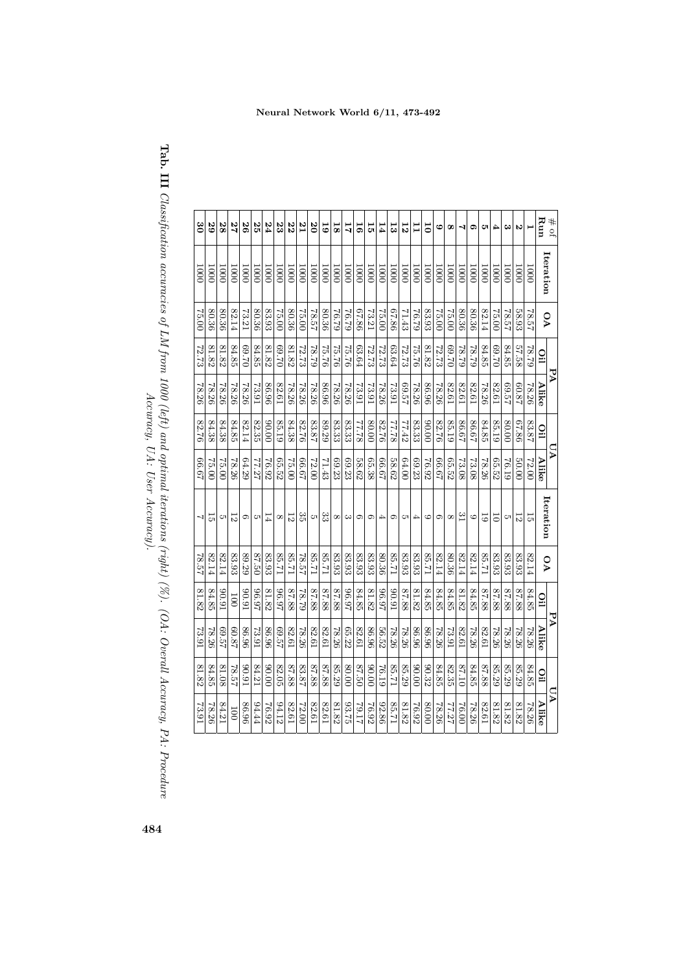| $\#$ of                 |                   |                         | AA             |           |                | ΡÄ    |                |                         |                | PA                      |                | $\mathbf{p}$     |
|-------------------------|-------------------|-------------------------|----------------|-----------|----------------|-------|----------------|-------------------------|----------------|-------------------------|----------------|------------------|
| Run                     | Iteration         | $\overline{\mathsf{v}}$ | $\overline{0}$ | Alike     | $\overline{0}$ | Alike | Iteration      | $\overline{\mathsf{v}}$ | $\overline{0}$ | Alike                   | $\overline{0}$ | Alike            |
|                         | 1000              | 78.57                   | 67.87          | 78.26     | 83.87          | 72.00 | 5              | 82.14                   | 84.85          | 78.26                   | 84.85          | 78.26            |
| Z                       | $\overline{000}$  | 58.93                   | 57.58          | 50.87     | 98'19          | 00.05 | $\overline{5}$ | 83.93                   | 87.88          | 78.26                   | 85.29          | 81.82            |
| $\mathbf{c}$            | 1000              | 78.57                   | 84.85          | 22.57     | 80.00          | 76.19 | CП             | 83.93                   | 87.88          | 78.26                   | 85.29          | 81.82            |
| 4                       | 1000              | 75.00                   | 02.69          | 82.61     | 85.19          | 65.52 | 5              | 83.93                   | 87.88          | 78.26                   | 85.29          | 81.82            |
| Ċ                       | $\overline{5}$    | 82.14                   | 84.85          | 78.26     | 84.85          | 78.26 | $\overline{6}$ | 12.98                   | 87.88          | 82.61                   | 87.88          | 82.61            |
| G                       | 0001              | $80.36\,$               | 67.87          | 82.61     | 79.88          | 73.08 | G              | 82.14                   | $84.85\,$      | 78.26                   | 84.85          | 78.26            |
| ↴                       | $\overline{000}$  | 80.36                   | 62.87          | 82.61     | 86.67          | 73.08 | $\frac{c}{1}$  | 82.14                   | 81.82          | 82.61                   | 01.78          | $-0.007$         |
| $\infty$                | 1000              | 75.00                   | 02.69          | 82.61     | 85.19          | 65.52 | $^{\circ}$     | 80.36                   | 84.85          | 73.91                   | 82.35          | 77.27            |
| 6                       | $\overline{000}$  | 75.00                   | 72.73          | 78.26     | 82.76          | 29'99 | G              | 82.14                   | 84.85          | 78.26                   | 84.85          | 78.26            |
| $\overline{0}$          | <b>1000</b>       | $83.93\,$               | 81.82          | 86.96     | 00.06          | 76.92 | $\circ$        | 17.78                   | 84.85          | 86.96                   | 90.32          | 00.08            |
| 冒                       | 0001              | 76.79                   | <b>75.76</b>   | 78.26     | 83.33          | 69.23 | 4              | 83.93                   | 81.82          | 96.98                   | 00.00          | 76.92            |
| 12                      | 1000              | 71.43                   | 72.73          | 42.99     | 77.42          | 64.00 | ĊП             | 83.93                   | 87.88          | 78.26                   | 85.29          | 81.82            |
| ದ                       | 0001              | 67.86                   | 63.64          | $13.91\,$ | 87.77          | 58.62 | $\circ$        | 12.38                   | 16'06          | 78.26                   | 17.38          | 17.38            |
| 14                      | $\overline{000}$  | 75.00                   | 72.73          | 78.26     | 82.76          | 29'99 | 4              | 80.36                   | 26.97          | 56.52                   | 76.19          | 92.86            |
| 5                       | $\overline{500}$  | 73.21                   | 72.73          | 13.91     | 80.00          | 65.38 | $\circ$        | 83.93                   | 81.82          | 86.96                   | 00.00          | 76.92            |
| 5                       | 0001              | 67.86                   | 63.64          | 73.91     | 87.77          | 58.62 | $\circ$        | 83.93                   | 84.85          | 82.61                   | 02.50          | 79.17            |
| 11                      | <b>1000</b>       | 62.92                   | <b>75.76</b>   | 78.26     | 83.33          | 69.23 | $\rm{c}$       | 83.93                   | 26.97          | 65.22                   | 00.08          | 93.75            |
| $\overline{\mathbf{8}}$ | $\overline{5}$    | 62.92                   | 97.75          | 78.26     | 83.33          | 69.23 | $\infty$       | 83.93                   | 87.88          | 97.87                   | 85.29          | 81.82            |
| 5                       | $\overline{500}$  | 80.36                   | 92.22          | 86.96     | 89.29          | 71.43 | ಜ              | 12:28                   | 87.88          | 82.61                   | 87.88          | 82.61            |
| $\overline{8}$          | 0001              | 78.57                   | 67.87          | 78.26     | 83.87          | 72.00 | ল              | 17.38                   | 87.88          | $82.61\,$               | 87.88          | 82.61            |
| ΓZ                      | $\overline{000}$  | 75.00                   | 72.73          | 78.26     | 82.76          | 29.99 | ςg             | 78.57                   | 62.82          | 78.26                   | 83.87          | 72.00            |
| 22                      | 500               | 80.36                   | 81.82          | 78.26     | 84.38          | 75.00 | $\overline{5}$ | 12.98                   | 87.88          | 82.61                   | 87.88          | 82.61            |
| 23                      | $\overline{0001}$ | 75.00                   | 02.69          | 82.61     | 85.19          | 65.52 | $\infty$       | 17.38                   | 26.97          | <b>75.97</b>            | $82.05\,$      | 94.12            |
| 24                      | 1000              | 83.93                   | 81.82          | 86.96     | 00'06          | 76.92 | 14             | 83.93                   | 81.82          | 86.96                   | 00.00          | 76.92            |
| 25                      | $\overline{5}$    | 80.36                   | 84.85          | 13.91     | 82.35          | 77.27 | CП             | 87.50                   | 26'96          | 18.91                   | 84.21          | 94.44            |
| 26                      | 1000              | 73.21                   | 02.69          | 78.26     | 82.14          | 64.29 | c              | 89.29                   | 16'06          | 86.96                   | 16'06          | 86.96            |
| 77                      | $\overline{5}$    | $82.14\,$               | 84.85          | 78.26     | $84.85\,$      | 78.26 | 5              | 83.93                   | 100            | 78.09                   | 78.57          | $\overline{001}$ |
| 28                      | $\overline{000}$  | 80.36                   | 81.82          | 78.26     | 84.38          | 75.00 | ĊΠ             | 82.14                   | 16'06          | <b>L<sub>2</sub>:69</b> | 81.08          | 84.21            |
| 29                      | 1000              | 80.36                   | 81.82          | 78.26     | 84.38          | 75.00 | 능              | 82.14                   | 84.85          | 78.26                   | 84.85          | 78.26            |
| 8g                      | $\overline{000}$  | 75.00                   | 72.73          | 78.26     | 82.76          | 49.99 | $\mathbf{I}$   | 78.57                   | 81.82          | 73.91                   | 81.82          | 73.91            |

**Tab. III** Classification accuracies of LM from 1000 (left) and optimal iterations (right) (%). (OA: Overall Accuracy, PA: Procedure<br> $\Lambda$ Tab. III  $\emph{Classification accuracies of LM from 1000 (left) and optimal iterations (right) (%). (OA: Concell Accuracy, PA: Proceedings) and the model.$ Accuracy, UA: User Accuracy).

Neural Network World 6/11, 473-492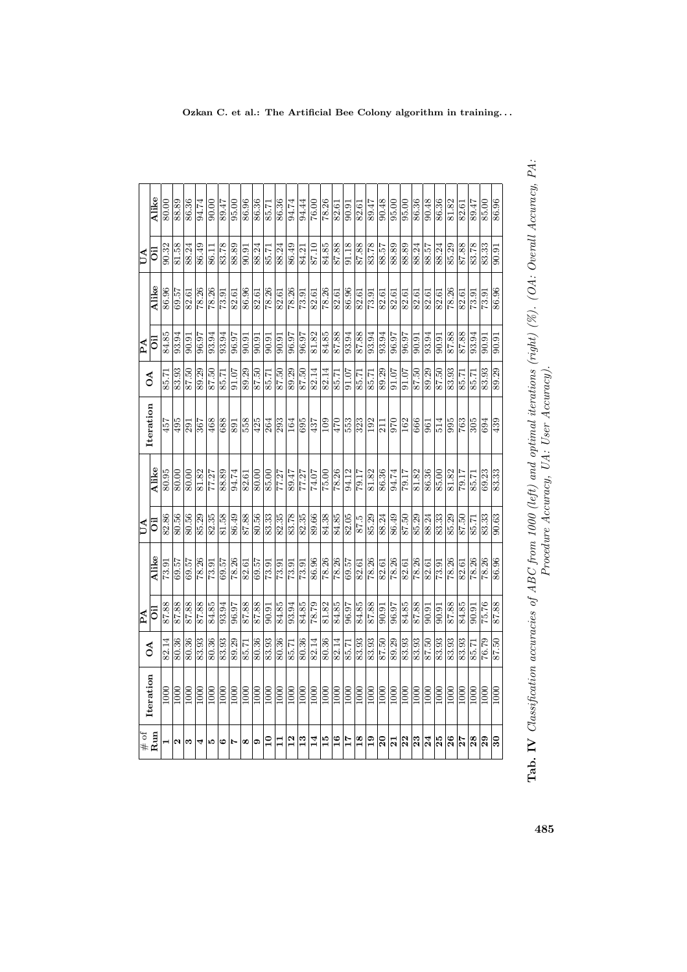| $\stackrel{\textnormal{\scriptsize{4}}}{\textnormal{\scriptsize{}}\textnormal{\scriptsize{}}\textnormal{\scriptsize{}}\textnormal{\scriptsize{}}\textnormal{\scriptsize{}}\textnormal{\scriptsize{}}$<br>Run | Iteration          | $\delta$              | $\mathbb{A}$       |                       | $\overline{\mathsf{A}}$ |                       | Iteration                 | $\delta$          | $\mathbb{\overline{A}}$ |                    | $ \mathbf{A} $      |                   |
|--------------------------------------------------------------------------------------------------------------------------------------------------------------------------------------------------------------|--------------------|-----------------------|--------------------|-----------------------|-------------------------|-----------------------|---------------------------|-------------------|-------------------------|--------------------|---------------------|-------------------|
|                                                                                                                                                                                                              |                    |                       | öil                | Alike                 | öi                      | Alike                 |                           |                   | öil                     | Alike              | öil                 | Alike             |
| $\blacksquare$                                                                                                                                                                                               | $\overline{1000}$  | 82.14                 | 87.88              | 73.91                 | 82.86                   | 80.95                 | 457                       | 85.71             | 84.85                   | 86.96              | 90.32               | 80.00             |
| $\mathbf{\Omega}$                                                                                                                                                                                            | $\boxed{00}$       | $\overline{80.36}$    | 87.88              | $\frac{75.69}{29.57}$ | $rac{96}{80.56}$        | 80.00                 | 495                       | 83.93             | $\frac{93.94}{}$        | 69.57              | 81.58               | 88.89             |
| S                                                                                                                                                                                                            | 1000               | 80.36                 | 87.88              |                       |                         | 80.00                 | 291                       | 87.50             | 90.91                   | 82.61              | 88.24               | 86.36             |
| 4                                                                                                                                                                                                            | 1000               | 83.93                 | 87.88              | 78.26                 |                         | 81.82                 | $\overline{\frac{367}{}}$ | 89.29             | 96.97                   | 78.26              | 86.49               | 94.74             |
| פו                                                                                                                                                                                                           | $\boxed{00}$       | 80.36                 | 84.85              | 73.91                 |                         | 77.27                 | 468                       | 87.50             | 93.94                   | 78.26              | 86.11               | 90.00             |
| G                                                                                                                                                                                                            | 1000               | 83.93                 | 93.94              | $\frac{69.57}{78.26}$ | $\frac{85.29}{82.35}$   | 88.89                 | 688                       | 85.71             | 93.94                   | $\overline{73.91}$ | 83.78               | 89.47             |
| Ľ                                                                                                                                                                                                            | 1000               | 89.29                 | 96.97              |                       | 88.78<br>87.88          | 94.74                 | 891                       | 91.07             | 96.97                   | 82.61              | 88.89               | 95.00             |
| ∣∞                                                                                                                                                                                                           | $\frac{1000}{\pi}$ | 85.71                 | 87.88              |                       |                         | 82.61                 | 558                       | 89.29             | $\frac{5}{10}$          | 86.96              | $\frac{16.06}{\pm}$ | 86.96             |
| ာ                                                                                                                                                                                                            | $\frac{1}{2}$      | $\frac{80.36}{83.93}$ | 87.88              | $\frac{69.57}{73.91}$ | $\frac{80.56}{83.33}$   | $\frac{80.00}{80}$    | $\frac{425}{5}$           | 87.50             | 90.91                   | 82.61              | 88.24               | 86.36             |
| $\overline{10}$                                                                                                                                                                                              | 1000               |                       | 90.91              |                       |                         | 85.00                 | 264                       | 85.71             | 90.91                   | 78.26              | 85.71               | 85.71             |
| $ \Xi _2$                                                                                                                                                                                                    | 1000               | 80.36                 | 84.85<br>93.94     | $\frac{73.91}{73.91}$ | $\frac{82.35}{83.78}$   | 77.27                 | $\overline{293}$          | 87.50             | 90.91                   | 82.61              | 88.24               | 86.36             |
|                                                                                                                                                                                                              | $\frac{100}{100}$  | $\frac{1}{85.71}$     |                    |                       |                         | 89.47                 | 164                       | 89.29             | 96.97                   | 78.26              | 86.49               | 94.74             |
| 13                                                                                                                                                                                                           | 1000               | 80.36                 | 84.85              | $\frac{73.91}{86.96}$ | 82.35<br>89.66          | 77.27<br>74.07        | 695                       | 87.50             | 96.97<br>81.82          | 73.91              | 84.21               | 94.44             |
| 14                                                                                                                                                                                                           | 1000               | 82.14                 |                    |                       |                         |                       | 437                       | 82.14             |                         | 82.61              | 87.10               | 76.00             |
| 15                                                                                                                                                                                                           | 1000               | 80.36                 | 81.82              | $\frac{78.26}{78.26}$ | 84.38<br>84.85<br>82.05 | $\frac{1}{75.00}$     | $\overline{109}$          | 82.14             | 84.85                   | 78.26              | 84.85               | 78.26             |
| 16                                                                                                                                                                                                           | $\frac{1000}{\pi}$ | 82.14                 | 84.85              |                       |                         | $\frac{78.26}{94.12}$ | 470                       | 85.71             | 87.88                   | 82.61              | 88.78               | 82.61             |
| $\frac{17}{11}$                                                                                                                                                                                              | $\frac{1000}{2}$   | 85.71                 | 96.97              |                       |                         |                       | 553                       | 91.07             | 93.94                   | 86.96              | 91.18               | $\frac{90.91}{ }$ |
| $\frac{8}{19}$                                                                                                                                                                                               | $\frac{1000}{\pi}$ | 83.93                 | 84.85              | 82.61                 | $\frac{87.5}{85.29}$    | 79.17                 | $\overline{323}$          | 85.71             | 87.88                   | 82.61              | 87.88               | 82.61             |
|                                                                                                                                                                                                              | $\frac{1000}{\pi}$ | 83.93                 |                    | 78.26                 |                         | 81.82                 | $\overline{192}$          | 85.71             | 93.94                   | 73.91              | 83.78               | 89.47             |
| $\frac{1}{2}$                                                                                                                                                                                                | $\overline{100}$   | 87.50                 | $\overline{90.91}$ | 82.61<br>78.26        | 88.24                   | 86.36<br>94.74        | 211                       | 89.29             | 93.94                   | 82.61              | 88.57               | 90.48             |
|                                                                                                                                                                                                              | $\frac{1000}{2}$   | 89.29                 | <b>16.97</b>       |                       | 86.49                   |                       | 970                       | $\frac{10.16}{2}$ | $\frac{96.97}{ }$       | $\overline{82.61}$ | 88.89               | $\frac{0}{95.00}$ |
| $\frac{2}{3}$                                                                                                                                                                                                | $\frac{000}{1000}$ | 83.93                 | 84.85              | 82.61<br>78.26        | 87.50<br>85.29          | 79.17                 | 162                       | 91.07             | 96.97                   | 82.61              | 88.89               | 95.00             |
|                                                                                                                                                                                                              |                    | 83.93                 | 87.88              |                       |                         | 81.82                 | 666                       | 87.50             | 90.91                   | 82.61              | 88.24               | 86.36             |
| 3 8                                                                                                                                                                                                          | $\frac{1000}{2}$   | 87.50                 | $\frac{1}{6}$      | $\frac{82.61}{73.91}$ | 88.24<br>83.33          | 86.36                 | $\overline{56}$           | 89.29             | 93.94                   | 82.61              | 88.57               | 90.48             |
|                                                                                                                                                                                                              | 1000               | 83.93                 | 90.91              |                       |                         | 85.00                 | 514                       | 87.50             | 90.91                   | 82.61              | 88.24               | 86.36             |
|                                                                                                                                                                                                              | 1000               | 83.93                 | 87.88              | $\frac{78.26}{82.61}$ | 85.29                   | 81.82<br>79.17        | 995                       | 83.93             | 87.88                   | 78.26              | 85.29               | 81.82             |
| $\frac{27}{2}$                                                                                                                                                                                               | $\boxed{00}$       | 83.93                 | 84.85              |                       | $\frac{12.28}{92.78}$   |                       | $\overline{763}$          | 85.71             | 87.88                   | 82.61              | 87.88               | 82.61             |
| $\overline{28}$                                                                                                                                                                                              | $\frac{100}{100}$  | $\frac{12.71}{85.71}$ | $\frac{1}{16.00}$  | 78.26                 |                         | $\frac{85.71}{ }$     | $\frac{1}{305}$           | $\frac{85.71}{ }$ | 93.94                   | $\frac{73.91}{2}$  | 83.78               | 89.47             |
| 29                                                                                                                                                                                                           | 1000               | 76.79                 | 75.76              | 78.26                 | 83.33                   | 69.23                 | 694                       | 83.93             | 90.91                   | 73.91              | 83.33               | 85.00             |
| ೫                                                                                                                                                                                                            | <b>DOO</b>         | $\frac{87.50}{ }$     | 87.88              | 86.96                 | $\overline{90.63}$      | 83.33                 | 439                       | 89.29             | $\frac{90.91}{5}$       | 86.96              | $\frac{16.06}{\pm}$ | 86.96             |
|                                                                                                                                                                                                              |                    |                       |                    |                       |                         |                       |                           |                   |                         |                    |                     |                   |

**Tab. IV** Classification accuracies of ABC from 1000 (left) and optimal iterations (right) (%). (OA: Overall Accuracy, PA:  $P$ A:  $P$ **Tab. IV** Classification accuracies of ABC from 1000 (left) and optimal iterations (right) (%). (OA: Overall Accuracy, PA:<br> $P_{\text{non-odd}}$   $A_{\text{non-odd}}$  and  $A_{\text{non-odd}}$  and  $A_{\text{non-odd}}$  in  $A_{\text{non-odd}}$ . Procedure Accuracy, UA: User Accuracy).

Ozkan C. et al.: The Artificial Bee Colony algorithm in training. . .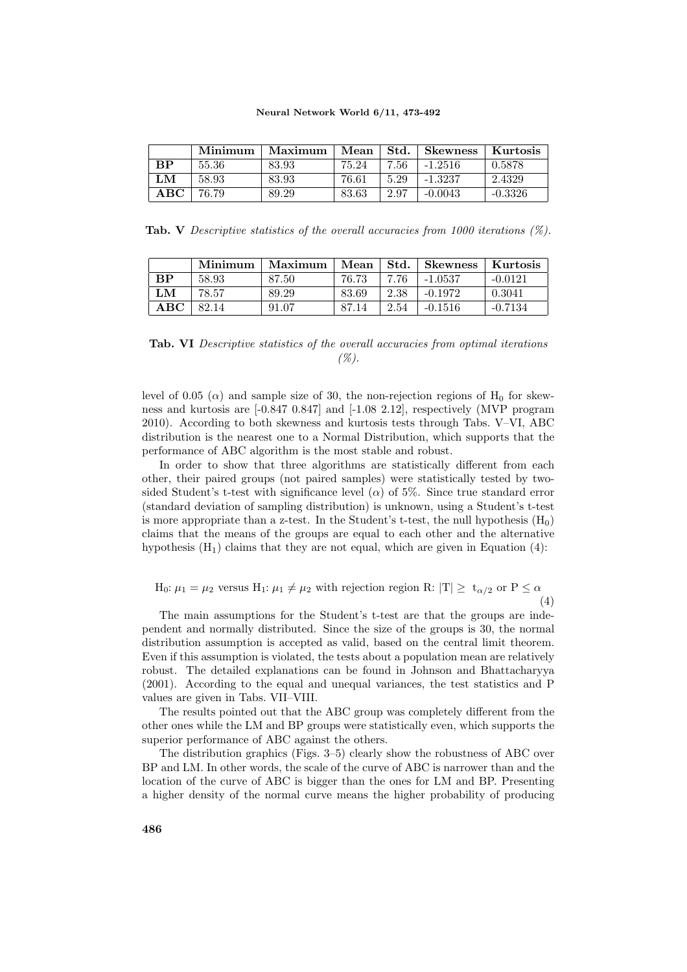|               | Minimum | Maximum | Mean  | Std. | ⊦ Skewness | Kurtosis  |
|---------------|---------|---------|-------|------|------------|-----------|
| $\mathbf{RP}$ | 55.36   | 83.93   | 75.24 | 7.56 | $-1.2516$  | 0.5878    |
| LM            | 58.93   | 83.93   | 76.61 | 5.29 | $-1.3237$  | 2.4329    |
| ABC           | 76.79   | 89.29   | 83.63 | 2.97 | $-0.0043$  | $-0.3326$ |

**Tab.** V Descriptive statistics of the overall accuracies from 1000 iterations  $(\%)$ .

|           | Minimum | Maximum | Mean  | Std. | Skewness  | Kurtosis  |
|-----------|---------|---------|-------|------|-----------|-----------|
| <b>RP</b> | 58.93   | 87.50   | 76.73 | 7.76 | $-1.0537$ | $-0.0121$ |
| LM        | 78.57   | 89.29   | 83.69 | 2.38 | $-0.1972$ | 0.3041    |
| ABC       | 82.14   | 91.07   | 87.14 | 2.54 | $-0.1516$ | $-0.7134$ |

Tab. VI Descriptive statistics of the overall accuracies from optimal iterations  $($ %).

level of 0.05 ( $\alpha$ ) and sample size of 30, the non-rejection regions of H<sub>0</sub> for skewness and kurtosis are [-0.847 0.847] and [-1.08 2.12], respectively (MVP program 2010). According to both skewness and kurtosis tests through Tabs. V–VI, ABC distribution is the nearest one to a Normal Distribution, which supports that the performance of ABC algorithm is the most stable and robust.

In order to show that three algorithms are statistically different from each other, their paired groups (not paired samples) were statistically tested by twosided Student's t-test with significance level ( $\alpha$ ) of 5%. Since true standard error (standard deviation of sampling distribution) is unknown, using a Student's t-test is more appropriate than a z-test. In the Student's t-test, the null hypothesis  $(H_0)$ claims that the means of the groups are equal to each other and the alternative hypothesis  $(H_1)$  claims that they are not equal, which are given in Equation (4):

H<sub>0</sub>: 
$$
\mu_1 = \mu_2
$$
 versus H<sub>1</sub>:  $\mu_1 \neq \mu_2$  with rejection region R:  $|T| \ge t_{\alpha/2}$  or  $P \le \alpha$  (4)

The main assumptions for the Student's t-test are that the groups are independent and normally distributed. Since the size of the groups is 30, the normal distribution assumption is accepted as valid, based on the central limit theorem. Even if this assumption is violated, the tests about a population mean are relatively robust. The detailed explanations can be found in Johnson and Bhattacharyya (2001). According to the equal and unequal variances, the test statistics and P values are given in Tabs. VII–VIII.

The results pointed out that the ABC group was completely different from the other ones while the LM and BP groups were statistically even, which supports the superior performance of ABC against the others.

The distribution graphics (Figs. 3–5) clearly show the robustness of ABC over BP and LM. In other words, the scale of the curve of ABC is narrower than and the location of the curve of ABC is bigger than the ones for LM and BP. Presenting a higher density of the normal curve means the higher probability of producing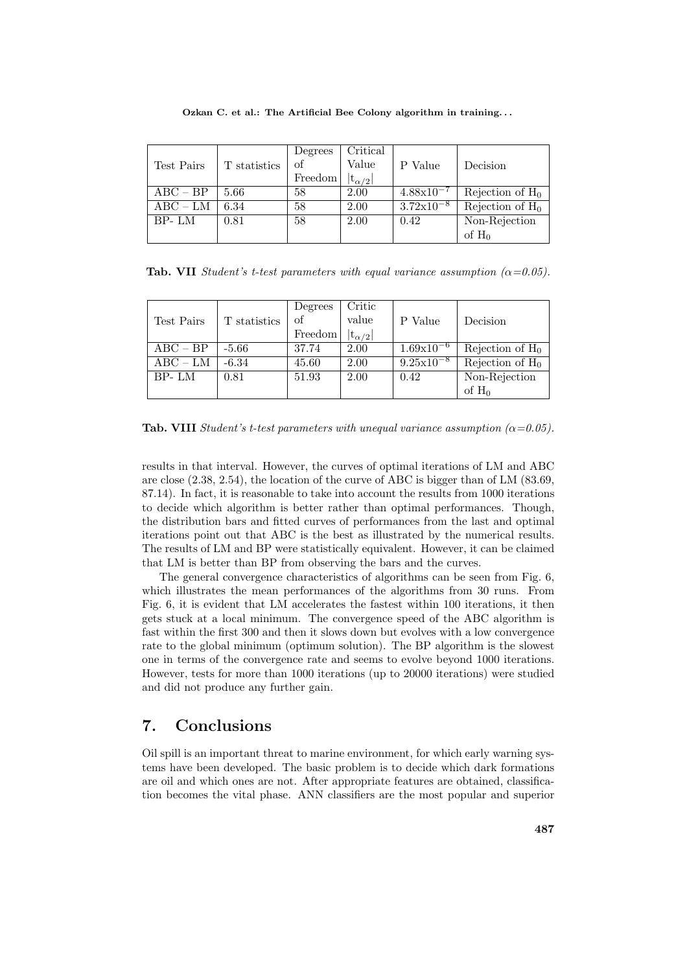|               |              | Degrees | Critical         |                       |                    |
|---------------|--------------|---------|------------------|-----------------------|--------------------|
| Test Pairs    | T statistics | of      | Value            | P Value               | Decision           |
|               |              | Freedom | $ t_{\alpha/2} $ |                       |                    |
| $ABC - BP$    | 5.66         | 58      | 2.00             | $4.88 \times 10^{-7}$ | Rejection of $H_0$ |
| $\rm{ABC-LM}$ | 6.34         | 58      | 2.00             | $3.72 \times 10^{-8}$ | Rejection of $H_0$ |
| BP-LM         | 0.81         | 58      | 2.00             | 0.42                  | Non-Rejection      |
|               |              |         |                  |                       | of $H_0$           |

Ozkan C. et al.: The Artificial Bee Colony algorithm in training. . .

**Tab. VII** Student's t-test parameters with equal variance assumption  $(\alpha = 0.05)$ .

|            |              | Degrees | Critic           |                       |                    |
|------------|--------------|---------|------------------|-----------------------|--------------------|
| Test Pairs | T statistics | of      | value            | P Value               | Decision           |
|            |              | Freedom | $ t_{\alpha/2} $ |                       |                    |
| $ABC - BP$ | $-5.66$      | 37.74   | 2.00             | $1.69x10^{-6}$        | Rejection of $H_0$ |
| $ABC - LM$ | $-6.34$      | 45.60   | 2.00             | $9.25 \times 10^{-8}$ | Rejection of $H_0$ |
| BP-LM      | 0.81         | 51.93   | 2.00             | 0.42                  | Non-Rejection      |
|            |              |         |                  |                       | of $H_0$           |

**Tab. VIII** Student's t-test parameters with unequal variance assumption  $(\alpha = 0.05)$ .

results in that interval. However, the curves of optimal iterations of LM and ABC are close (2.38, 2.54), the location of the curve of ABC is bigger than of LM (83.69, 87.14). In fact, it is reasonable to take into account the results from 1000 iterations to decide which algorithm is better rather than optimal performances. Though, the distribution bars and fitted curves of performances from the last and optimal iterations point out that ABC is the best as illustrated by the numerical results. The results of LM and BP were statistically equivalent. However, it can be claimed that LM is better than BP from observing the bars and the curves.

The general convergence characteristics of algorithms can be seen from Fig. 6, which illustrates the mean performances of the algorithms from 30 runs. From Fig. 6, it is evident that LM accelerates the fastest within 100 iterations, it then gets stuck at a local minimum. The convergence speed of the ABC algorithm is fast within the first 300 and then it slows down but evolves with a low convergence rate to the global minimum (optimum solution). The BP algorithm is the slowest one in terms of the convergence rate and seems to evolve beyond 1000 iterations. However, tests for more than 1000 iterations (up to 20000 iterations) were studied and did not produce any further gain.

# 7. Conclusions

Oil spill is an important threat to marine environment, for which early warning systems have been developed. The basic problem is to decide which dark formations are oil and which ones are not. After appropriate features are obtained, classification becomes the vital phase. ANN classifiers are the most popular and superior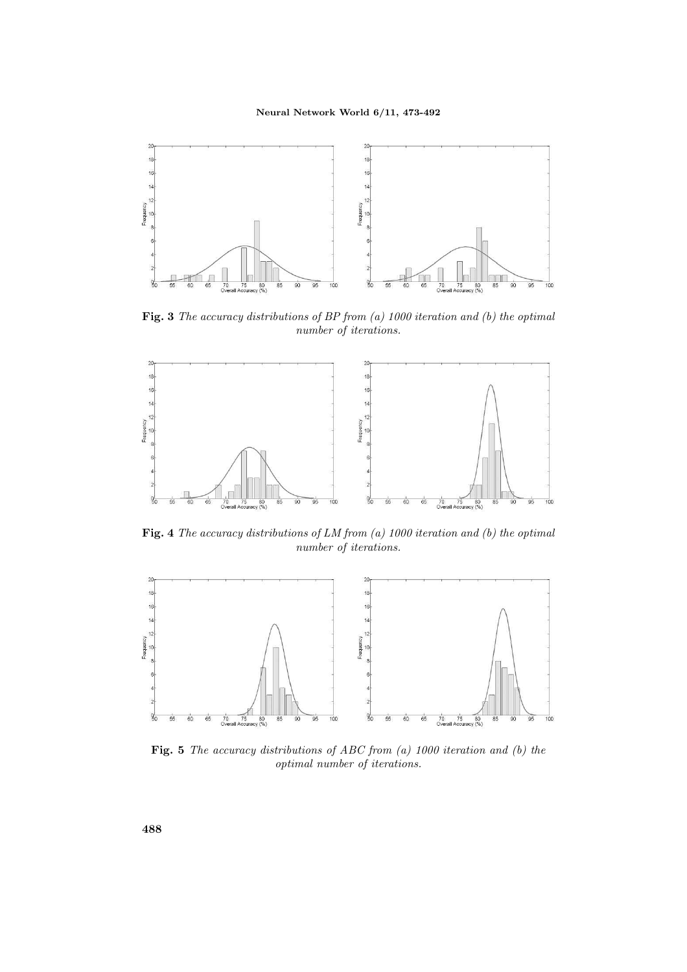

Fig. 3 The accuracy distributions of BP from (a) 1000 iteration and (b) the optimal number of iterations.



**Fig. 4** The accuracy distributions of LM from (a) 1000 iteration and (b) the optimal number of iterations.



Fig. 5 The accuracy distributions of ABC from (a) 1000 iteration and (b) the optimal number of iterations.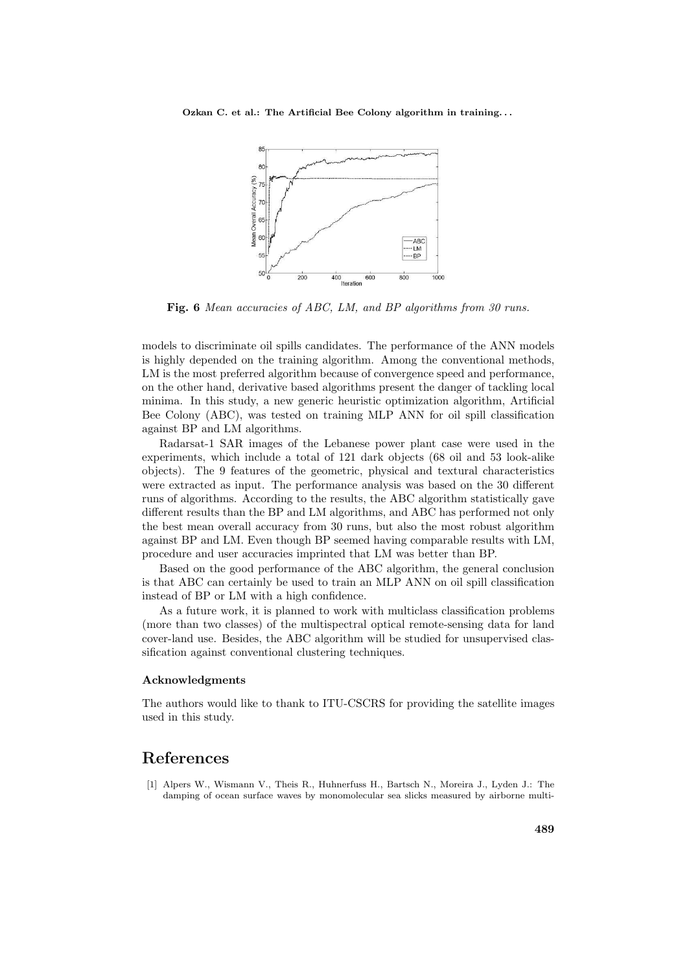

Fig. 6 Mean accuracies of ABC, LM, and BP algorithms from 30 runs.

models to discriminate oil spills candidates. The performance of the ANN models is highly depended on the training algorithm. Among the conventional methods, LM is the most preferred algorithm because of convergence speed and performance, on the other hand, derivative based algorithms present the danger of tackling local minima. In this study, a new generic heuristic optimization algorithm, Artificial Bee Colony (ABC), was tested on training MLP ANN for oil spill classification against BP and LM algorithms.

Radarsat-1 SAR images of the Lebanese power plant case were used in the experiments, which include a total of 121 dark objects (68 oil and 53 look-alike objects). The 9 features of the geometric, physical and textural characteristics were extracted as input. The performance analysis was based on the 30 different runs of algorithms. According to the results, the ABC algorithm statistically gave different results than the BP and LM algorithms, and ABC has performed not only the best mean overall accuracy from 30 runs, but also the most robust algorithm against BP and LM. Even though BP seemed having comparable results with LM, procedure and user accuracies imprinted that LM was better than BP.

Based on the good performance of the ABC algorithm, the general conclusion is that ABC can certainly be used to train an MLP ANN on oil spill classification instead of BP or LM with a high confidence.

As a future work, it is planned to work with multiclass classification problems (more than two classes) of the multispectral optical remote-sensing data for land cover-land use. Besides, the ABC algorithm will be studied for unsupervised classification against conventional clustering techniques.

#### Acknowledgments

The authors would like to thank to ITU-CSCRS for providing the satellite images used in this study.

### References

[1] Alpers W., Wismann V., Theis R., Huhnerfuss H., Bartsch N., Moreira J., Lyden J.: The damping of ocean surface waves by monomolecular sea slicks measured by airborne multi-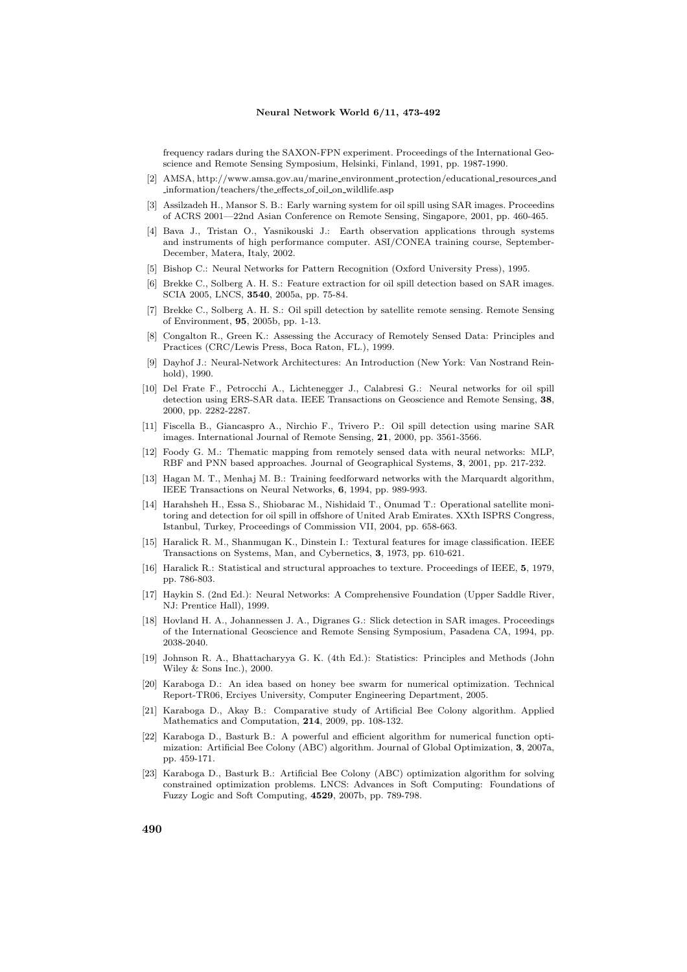frequency radars during the SAXON-FPN experiment. Proceedings of the International Geoscience and Remote Sensing Symposium, Helsinki, Finland, 1991, pp. 1987-1990.

- [2] AMSA, http://www.amsa.gov.au/marine environment protection/educational resources and information/teachers/the effects of oil on wildlife.asp
- [3] Assilzadeh H., Mansor S. B.: Early warning system for oil spill using SAR images. Proceedins of ACRS 2001—22nd Asian Conference on Remote Sensing, Singapore, 2001, pp. 460-465.
- [4] Bava J., Tristan O., Yasnikouski J.: Earth observation applications through systems and instruments of high performance computer. ASI/CONEA training course, September-December, Matera, Italy, 2002.
- [5] Bishop C.: Neural Networks for Pattern Recognition (Oxford University Press), 1995.
- [6] Brekke C., Solberg A. H. S.: Feature extraction for oil spill detection based on SAR images. SCIA 2005, LNCS, 3540, 2005a, pp. 75-84.
- [7] Brekke C., Solberg A. H. S.: Oil spill detection by satellite remote sensing. Remote Sensing of Environment, 95, 2005b, pp. 1-13.
- [8] Congalton R., Green K.: Assessing the Accuracy of Remotely Sensed Data: Principles and Practices (CRC/Lewis Press, Boca Raton, FL.), 1999.
- [9] Dayhof J.: Neural-Network Architectures: An Introduction (New York: Van Nostrand Reinhold), 1990.
- [10] Del Frate F., Petrocchi A., Lichtenegger J., Calabresi G.: Neural networks for oil spill detection using ERS-SAR data. IEEE Transactions on Geoscience and Remote Sensing, 38, 2000, pp. 2282-2287.
- [11] Fiscella B., Giancaspro A., Nirchio F., Trivero P.: Oil spill detection using marine SAR images. International Journal of Remote Sensing, 21, 2000, pp. 3561-3566.
- [12] Foody G. M.: Thematic mapping from remotely sensed data with neural networks: MLP, RBF and PNN based approaches. Journal of Geographical Systems, 3, 2001, pp. 217-232.
- [13] Hagan M. T., Menhaj M. B.: Training feedforward networks with the Marquardt algorithm, IEEE Transactions on Neural Networks, 6, 1994, pp. 989-993.
- [14] Harahsheh H., Essa S., Shiobarac M., Nishidaid T., Onumad T.: Operational satellite monitoring and detection for oil spill in offshore of United Arab Emirates. XXth ISPRS Congress, Istanbul, Turkey, Proceedings of Commission VII, 2004, pp. 658-663.
- [15] Haralick R. M., Shanmugan K., Dinstein I.: Textural features for image classification. IEEE Transactions on Systems, Man, and Cybernetics, 3, 1973, pp. 610-621.
- [16] Haralick R.: Statistical and structural approaches to texture. Proceedings of IEEE, 5, 1979, pp. 786-803.
- [17] Haykin S. (2nd Ed.): Neural Networks: A Comprehensive Foundation (Upper Saddle River, NJ: Prentice Hall), 1999.
- [18] Hovland H. A., Johannessen J. A., Digranes G.: Slick detection in SAR images. Proceedings of the International Geoscience and Remote Sensing Symposium, Pasadena CA, 1994, pp. 2038-2040.
- [19] Johnson R. A., Bhattacharyya G. K. (4th Ed.): Statistics: Principles and Methods (John Wiley & Sons Inc.), 2000.
- [20] Karaboga D.: An idea based on honey bee swarm for numerical optimization. Technical Report-TR06, Erciyes University, Computer Engineering Department, 2005.
- [21] Karaboga D., Akay B.: Comparative study of Artificial Bee Colony algorithm. Applied Mathematics and Computation, 214, 2009, pp. 108-132.
- [22] Karaboga D., Basturk B.: A powerful and efficient algorithm for numerical function optimization: Artificial Bee Colony (ABC) algorithm. Journal of Global Optimization, 3, 2007a, pp. 459-171.
- [23] Karaboga D., Basturk B.: Artificial Bee Colony (ABC) optimization algorithm for solving constrained optimization problems. LNCS: Advances in Soft Computing: Foundations of Fuzzy Logic and Soft Computing, 4529, 2007b, pp. 789-798.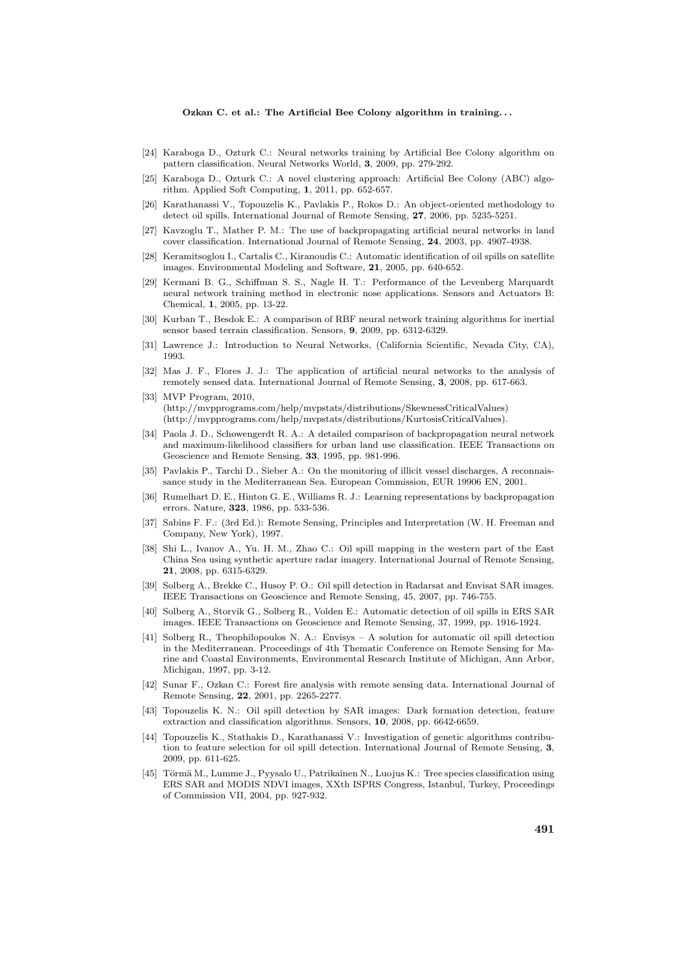- [24] Karaboga D., Ozturk C.: Neural networks training by Artificial Bee Colony algorithm on pattern classification. Neural Networks World, 3, 2009, pp. 279-292.
- [25] Karaboga D., Ozturk C.: A novel clustering approach: Artificial Bee Colony (ABC) algorithm. Applied Soft Computing, 1, 2011, pp. 652-657.
- [26] Karathanassi V., Topouzelis K., Pavlakis P., Rokos D.: An object-oriented methodology to detect oil spills. International Journal of Remote Sensing, 27, 2006, pp. 5235-5251.
- [27] Kavzoglu T., Mather P. M.: The use of backpropagating artificial neural networks in land cover classification. International Journal of Remote Sensing, 24, 2003, pp. 4907-4938.
- [28] Keramitsoglou I., Cartalis C., Kiranoudis C.: Automatic identification of oil spills on satellite images. Environmental Modeling and Software, 21, 2005, pp. 640-652.
- [29] Kermani B. G., Schiffman S. S., Nagle H. T.: Performance of the Levenberg Marquardt neural network training method in electronic nose applications. Sensors and Actuators B: Chemical, 1, 2005, pp. 13-22.
- [30] Kurban T., Besdok E.: A comparison of RBF neural network training algorithms for inertial sensor based terrain classification. Sensors, 9, 2009, pp. 6312-6329.
- [31] Lawrence J.: Introduction to Neural Networks, (California Scientific, Nevada City, CA), 1993.
- [32] Mas J. F., Flores J. J.: The application of artificial neural networks to the analysis of remotely sensed data. International Journal of Remote Sensing, 3, 2008, pp. 617-663.
- [33] MVP Program, 2010, (http://mvpprograms.com/help/mvpstats/distributions/SkewnessCriticalValues) (http://mvpprograms.com/help/mvpstats/distributions/KurtosisCriticalValues).
- [34] Paola J. D., Schowengerdt R. A.: A detailed comparison of backpropagation neural network and maximum-likelihood classifiers for urban land use classification. IEEE Transactions on Geoscience and Remote Sensing, 33, 1995, pp. 981-996.
- [35] Pavlakis P., Tarchi D., Sieber A.: On the monitoring of illicit vessel discharges, A reconnaissance study in the Mediterranean Sea. European Commission, EUR 19906 EN, 2001.
- [36] Rumelhart D. E., Hinton G. E., Williams R. J.: Learning representations by backpropagation errors. Nature, 323, 1986, pp. 533-536.
- [37] Sabins F. F.: (3rd Ed.): Remote Sensing, Principles and Interpretation (W. H. Freeman and Company, New York), 1997.
- [38] Shi L., Ivanov A., Yu. H. M., Zhao C.: Oil spill mapping in the western part of the East China Sea using synthetic aperture radar imagery. International Journal of Remote Sensing, 21, 2008, pp. 6315-6329.
- [39] Solberg A., Brekke C., Husoy P. O.: Oil spill detection in Radarsat and Envisat SAR images. IEEE Transactions on Geoscience and Remote Sensing, 45, 2007, pp. 746-755.
- [40] Solberg A., Storvik G., Solberg R., Volden E.: Automatic detection of oil spills in ERS SAR images. IEEE Transactions on Geoscience and Remote Sensing, 37, 1999, pp. 1916-1924.
- [41] Solberg R., Theophilopoulos N. A.: Envisys A solution for automatic oil spill detection in the Mediterranean. Proceedings of 4th Thematic Conference on Remote Sensing for Marine and Coastal Environments, Environmental Research Institute of Michigan, Ann Arbor, Michigan, 1997, pp. 3-12.
- [42] Sunar F., Ozkan C.: Forest fire analysis with remote sensing data. International Journal of Remote Sensing, 22, 2001, pp. 2265-2277.
- [43] Topouzelis K. N.: Oil spill detection by SAR images: Dark formation detection, feature extraction and classification algorithms. Sensors, 10, 2008, pp. 6642-6659.
- [44] Topouzelis K., Stathakis D., Karathanassi V.: Investigation of genetic algorithms contribution to feature selection for oil spill detection. International Journal of Remote Sensing, 3, 2009, pp. 611-625.
- [45] Törmä M., Lumme J., Pyysalo U., Patrikainen N., Luojus K.: Tree species classification using ERS SAR and MODIS NDVI images, XXth ISPRS Congress, Istanbul, Turkey, Proceedings of Commission VII, 2004, pp. 927-932.